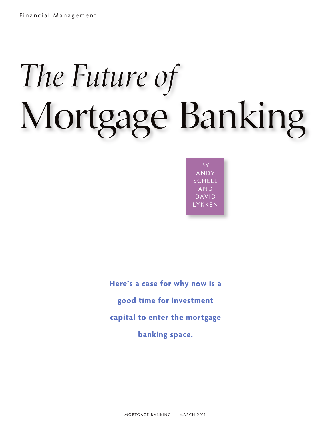# *The Future of* **Mortgage Banking**

BY ANDY **SCHELL** AND DAVID **YKKEN** 

**Here's a case for why now is a good time for investment capital to enter the mortgage banking space.**

MORTGAGE BANKING | MARCH 2011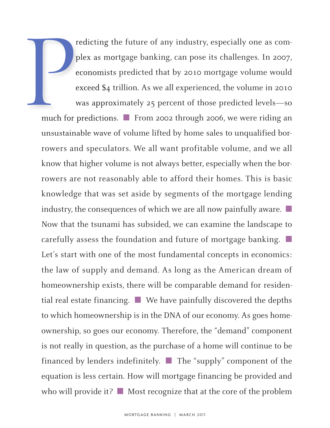redicting the future of any industry, especially one as complex as mortgage banking, can pose its challenges. In 2007, economists predicted that by 2010 mortgage volume would exceed \$4 trillion. As we all experienced, the volume in 2010 was approximately 25 percent of those predicted levels—so much for predictions. ■ From 2002 through 2006, we were riding an unsustainable wave of volume lifted by home sales to unqualified borrowers and speculators. We all want profitable volume, and we all know that higher volume is not always better, especially when the borrowers are not reasonably able to afford their homes. This is basic knowledge that was set aside by segments of the mortgage lending industry, the consequences of which we are all now painfully aware. ■ Now that the tsunami has subsided, we can examine the landscape to carefully assess the foundation and future of mortgage banking. ■ Let's start with one of the most fundamental concepts in economics: the law of supply and demand. As long as the American dream of homeownership exists, there will be comparable demand for residential real estate financing. ■ We have painfully discovered the depths to which homeownership is in the DNA of our economy. As goes homeownership, so goes our economy. Therefore, the "demand" component is not really in question, as the purchase of a home will continue to be financed by lenders indefinitely. ■ The "supply" component of the equation is less certain. How will mortgage financing be provided and who will provide it? ■ Most recognize that at the core of the problem **P**<br>much for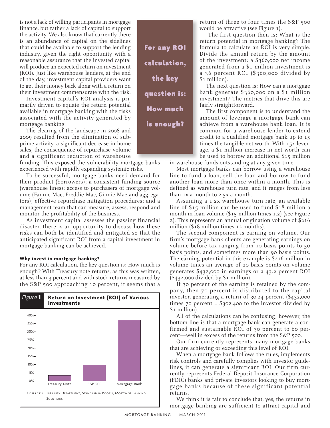is not a lack of willing participants in mortgage finance, but rather a lack of capital to support the activity. We also know that currently there is an abundance of capital on the sidelines that could be available to support the lending industry, given the right opportunity with a reasonable assurance that the invested capital will produce an expected return on investment (ROI). Just like warehouse lenders, at the end of the day, investment capital providers want to get their money back along with a return on their investment commensurate with the risk.

Investment capital's ROI analysis is primarily driven to equate the return potential available in mortgage banking with the risks associated with the activity generated by mortgage banking.

The clearing of the landscape in 2008 and 2009 resulted from the elimination of subprime activity, a significant decrease in home sales, the consequence of repurchase volume and a significant reduction of warehouse

funding. This exposed the vulnerability mortgage banks experienced with rapidly expanding systemic risks.

To be successful, mortgage banks need demand for their product (borrowers); a consistent funding source (warehouse lines); access to purchasers of mortgage volume (Fannie Mae, Freddie Mac, Ginnie Mae and aggregators); effective repurchase mitigation procedures; and a management team that can measure, assess, respond and monitor the profitability of the business.

As investment capital assesses the passing financial disaster, there is an opportunity to discuss how these risks can both be identified and mitigated so that the anticipated significant ROI from a capital investment in mortgage banking can be achieved.

# **Why invest in mortgage banking?**

For any ROI calculation, the key question is: How much is enough? With Treasury note returns, as this was written, at less than 3 percent and with stock returns measured by the S&P 500 approaching 10 percent, it seems that a



**For any ROI calculation, the key question is: How much is enough?**

return of three to four times the S&P 500 would be attractive (see Figure 1).

The first question then is: What is the return potential in mortgage banking? The formula to calculate an ROI is very simple. Divide the annual return by the amount of the investment: a \$360,000 net income generated from a \$1 million investment is a 36 percent ROI (\$360,000 divided by \$1 million).

The next question is: How can a mortgage bank generate \$360,000 on a \$1 million investment? The metrics that drive this are fairly straightforward.

The first component is to understand the amount of leverage a mortgage bank can achieve from a warehouse bank loan. It is common for a warehouse lender to extend credit to a qualified mortgage bank up to 15 times the tangible net worth. With 15x leverage, a \$1 million increase in net worth can be used to borrow an additional \$15 million

in warehouse funds outstanding at any given time.

Most mortgage banks can borrow using a warehouse line to fund a loan, sell the loan and borrow to fund another loan more than once within a month. This is defined as warehouse turn rate, and it ranges from less than 1x a month to 2.5x a month.

Assuming a 1.2x warehouse turn rate, an available line of \$15 million can be used to fund \$18 million a month in loan volume (\$15 million times 1.2) (see Figure 2). This represents an annual origination volume of \$216 million (\$18 million times 12 months).

The second component is earning on volume. Our firm's mortgage bank clients are generating earnings on volume before tax ranging from 10 basis points to 50 basis points, and sometimes more than 90 basis points. The earning potential in this example is \$216 million in volume times an average of 20 basis points on volume generates \$432,000 in earnings or a 43.2 percent ROI (\$432,000 divided by \$1 million).

If 30 percent of the earning is retained by the company, then 70 percent is distributed to the capital investor, generating a return of 30.24 percent (\$432,000 times 70 percent =  $$302,400$  to the investor divided by \$1 million).

All of the calculations can be confusing; however, the bottom line is that a mortgage bank can generate a confirmed and sustainable ROI of 30 percent to 60 percent—well in excess of the returns from the S&P 500.

Our firm currently represents many mortgage banks that are achieving or exceeding this level of ROI.

When a mortgage bank follows the rules, implements risk controls and carefully complies with investor guidelines, it can generate a significant ROI. Our firm currently represents Federal Deposit Insurance Corporation (FDIC) banks and private investors looking to buy mortgage banks because of these significant potential returns.

We think it is fair to conclude that, yes, the returns in mortgage banking are sufficient to attract capital and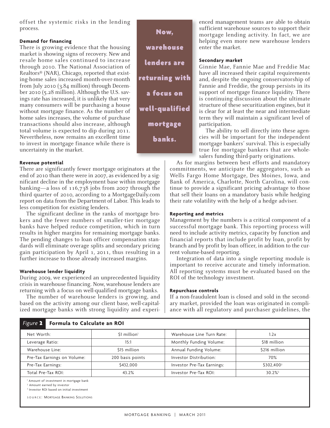offset the systemic risks in the lending process.

# **Demand for financing**

There is growing evidence that the housing market is showing signs of recovery. New and resale home sales continued to increase through 2010. The National Association of Realtors® (NAR), Chicago, reported that existing-home sales increased month-over-month from July 2010 (3.84 million) through December 2010 (5.28 million). Although the U.S. savings rate has increased, it is unlikely that very many consumers will be purchasing a house without mortgage finance. As the number of home sales increases, the volume of purchase transactions should also increase, although total volume is expected to dip during 2011. Nevertheless, now remains an excellent time to invest in mortgage finance while there is uncertainty in the market.

# **Revenue potential**

There are significantly fewer mortgage originators at the end of 2010 than there were in 2007, as evidenced by a significant decline in the employment base within mortgage banking—a loss of 116,738 jobs from 2007 through the third quarter of 2010, according to a MortgageDaily.com report on data from the Department of Labor. This leads to less competition for existing lenders.

The significant decline in the ranks of mortgage brokers and the fewer numbers of smaller-tier mortgage banks have helped reduce competition, which in turn results in higher margins for remaining mortgage banks. The pending changes to loan officer compensation standards will eliminate overage splits and secondary pricing gain participation by April 1, 2011, thus resulting in a further increase to those already increased margins.

# **Warehouse lender liquidity**

During 2009, we experienced an unprecedented liquidity crisis in warehouse financing. Now, warehouse lenders are returning with a focus on well-qualified mortgage banks.

The number of warehouse lenders is growing, and based on the activity among our client base, well-capitalized mortgage banks with strong liquidity and experi-

**Now, warehouse lenders are returning with a focus on well-qualified mortgage banks.**

enced management teams are able to obtain sufficient warehouse sources to support their mortgage lending activity. In fact, we are helping even more new warehouse lenders enter the market.

## **Secondary market**

Ginnie Mae, Fannie Mae and Freddie Mac have all increased their capital requirements and, despite the ongoing conservatorship of Fannie and Freddie, the group persists in its support of mortgage finance liquidity. There is continuing discussion about the ultimate structure of these securitization engines, but it is clear for at least the near and intermediate term they will maintain a significant level of participation.

The ability to sell directly into these agencies will be important for the independent mortgage bankers' survival. This is especially true for mortgage bankers that are wholesalers funding third-party originations.

As for margins between best efforts and mandatory commitments, we anticipate the aggregators, such as Wells Fargo Home Mortgage, Des Moines, Iowa, and Bank of America, Charlotte, North Carolina, will continue to provide a significant pricing advantage to those that sell their loans on a mandatory basis while hedging their rate volatility with the help of a hedge adviser.

# **Reporting and metrics**

Management by the numbers is a critical component of a successful mortgage bank. This reporting process will need to include activity metrics, capacity by function and financial reports that include profit by loan, profit by branch and by profit by loan officer, in addition to the current volume-based reporting.

Integration of data into a single reporting module is important to receive accurate and timely information. All reporting systems must be evaluated based on the ROI of the technology investment.

### **Repurchase controls**

If a non-fraudulent loan is closed and sold in the secondary market, provided the loan was originated in compliance with all regulatory and purchaser guidelines, the

| Formula to Calculate an ROI<br>Figure 2                                                                                                               |                           |                            |                        |
|-------------------------------------------------------------------------------------------------------------------------------------------------------|---------------------------|----------------------------|------------------------|
| Net Worth:                                                                                                                                            | $$1$ million <sup>1</sup> | Warehouse Line Turn Rate:  | 1.2x                   |
| Leverage Ratio:                                                                                                                                       | 15:1                      | Monthly Funding Volume:    | \$18 million           |
| Warehouse Line:                                                                                                                                       | \$15 million              | Annual Funding Volume:     | \$216 million          |
| Pre-Tax Earnings on Volume:                                                                                                                           | 200 basis points          | Investor Distribution:     | 70%                    |
| Pre-Tax Earnings:                                                                                                                                     | \$432,000                 | Investor Pre-Tax Earnings: | \$302,400 <sup>2</sup> |
| Total Pre-Tax ROI:                                                                                                                                    | 43.2%                     | Investor Pre-Tax ROI:      | $30.2\%$ <sup>3</sup>  |
| <sup>1</sup> Amount of investment in mortgage bank<br><sup>2</sup> Amount earned by investor<br><sup>3</sup> Investor ROI based on initial investment |                           |                            |                        |

S O U R C E : MORTGAGE BANKING SOLUTIONS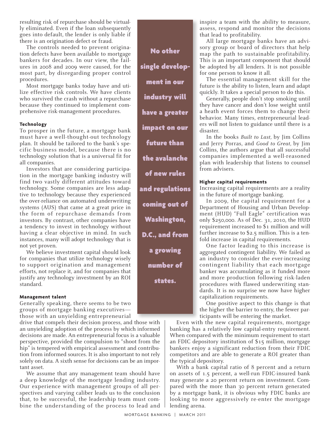resulting risk of repurchase should be virtually eliminated. Even if the loan subsequently goes into default, the lender is only liable if there is an origination defect or fraud.

The controls needed to prevent origination defects have been available to mortgage bankers for decades. In our view, the failures in 2008 and 2009 were caused, for the most part, by disregarding proper control procedures.

Most mortgage banks today have and utilize effective risk controls. We have clients who survived the crash without a repurchase because they continued to implement comprehensive risk-management procedures.

### **Technology**

To prosper in the future, a mortgage bank must have a well-thought-out technology plan. It should be tailored to the bank's specific business model, because there is no technology solution that is a universal fit for all companies.

Investors that are considering participation in the mortgage banking industry will find two vastly different attitudes toward technology. Some companies are less adaptive to technology because they experienced the over-reliance on automated underwriting systems (AUS) that came at a great price in the form of repurchase demands from investors. By contrast, other companies have a tendency to invest in technology without having a clear objective in mind. In such instances, many will adopt technology that is not yet proven.

We believe investment capital should look for companies that utilize technology wisely to support origination and management efforts, not replace it, and for companies that justify any technology investment by an ROI standard.

### **Management talent**

Generally speaking, there seems to be two groups of mortgage banking executives those with an unyielding entrepreneurial

drive that compels their decision process, and those with an unyielding adoption of the process by which informed decisions are made. An entrepreneurial focus is a valuable perspective, provided the compulsion to "shoot from the hip" is tempered with empirical assessment and contribution from informed sources. It is also important to not rely solely on data. A sixth sense for decisions can be an important asset.

We assume that any management team should have a deep knowledge of the mortgage lending industry. Our experience with management groups of all perspectives and varying caliber leads us to the conclusion that, to be successful, the leadership team must combine the understanding of the process to lead and

**No other single development in our industry will have a greater impact on our future than the avalanche of new rules and regulations coming out of Washington, D.C., and from a growing number of states.**

inspire a team with the ability to measure, assess, respond and monitor the decisions that lead to profitability.

All large mortgage banks have an advisory group or board of directors that help map the path to sustainable profitability. This is an important component that should be adopted by all lenders. It is not possible for one person to know it all.

The essential management skill for the future is the ability to listen, learn and adapt quickly. It takes a special person to do this.

Generally, people don't stop smoking until they have cancer and don't lose weight until a heath event forces them to change their behavior. Many times, entrepreneurial leaders will not listen to guidance until there is a disaster.

In the books *Built to Last,* by Jim Collins and Jerry Porras, and *Good to Great,* by Jim Collins, the authors argue that all successful companies implemented a well-reasoned plan with leadership that listens to counsel from advisers.

### **Higher capital requirements**

Increasing capital requirements are a reality in the future of mortgage banking.

In 2009, the capital requirement for a Department of Housing and Urban Development (HUD) "Full Eagle" certification was only \$250,000. As of Dec. 31, 2010, the HUD requirement increased to \$1 million and will further increase to \$2.5 million. This is a tenfold increase in capital requirements.

One factor leading to this increase is aggregated contingent liability. We failed as an industry to consider the ever-increasing contingent liability that each mortgage banker was accumulating as it funded more and more production following risk-laden procedures with flawed underwriting standards. It is no surprise we now have higher capitalization requirements.

One positive aspect to this change is that the higher the barrier to entry, the fewer participants will be entering the market.

Even with the new capital requirements, mortgage banking has a relatively low capital-entry requirement. When compared with the minimum requirement to start an FDIC depository institution of \$15 million, mortgage bankers enjoy a significant reduction from their FDIC competitors and are able to generate a ROI greater than the typical depository.

With a bank capital ratio of 8 percent and a return on assets of 1.5 percent, a well-run FDIC-insured bank may generate a 20 percent return on investment. Compared with the more than 30 percent return generated by a mortgage bank, it is obvious why FDIC banks are looking to more aggressively re-enter the mortgage lending arena.